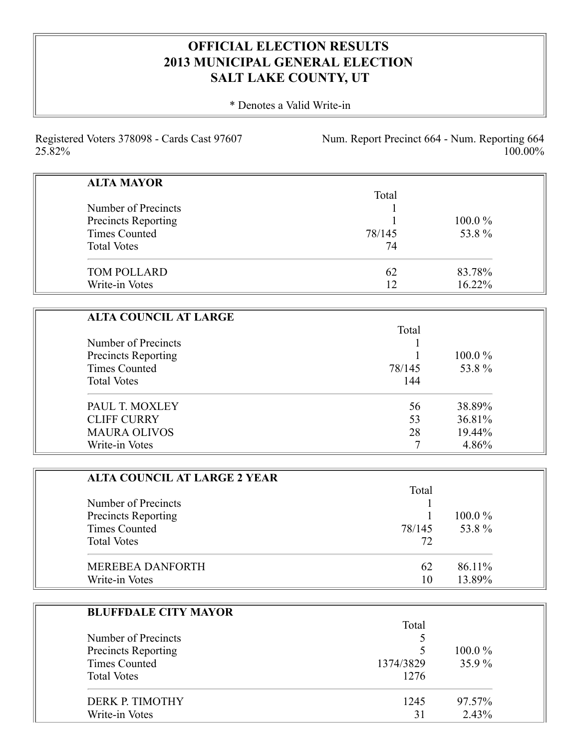## **OFFICIAL ELECTION RESULTS 2013 MUNICIPAL GENERAL ELECTION SALT LAKE COUNTY, UT**

\* Denotes a Valid Write-in

Registered Voters 378098 - Cards Cast 97607 25.82%

Num. Report Precinct 664 - Num. Reporting 664 100.00%

| <b>ALTA MAYOR</b>    |        |           |
|----------------------|--------|-----------|
|                      | Total  |           |
| Number of Precincts  |        |           |
| Precincts Reporting  |        | $100.0\%$ |
| <b>Times Counted</b> | 78/145 | 53.8%     |
| <b>Total Votes</b>   | 74     |           |
| <b>TOM POLLARD</b>   | 62     | 83.78%    |
| Write-in Votes       | 12     | 16.22%    |

| <b>ALTA COUNCIL AT LARGE</b>               |        |           |
|--------------------------------------------|--------|-----------|
|                                            | Total  |           |
| Number of Precincts<br>Precincts Reporting |        |           |
|                                            |        | $100.0\%$ |
| Times Counted                              | 78/145 | 53.8%     |
| <b>Total Votes</b>                         | 144    |           |
| PAUL T. MOXLEY                             | 56     | 38.89%    |
| <b>CLIFF CURRY</b>                         | 53     | 36.81%    |
| <b>MAURA OLIVOS</b>                        | 28     | 19.44%    |
| Write-in Votes                             |        | 4.86%     |

| <b>ALTA COUNCIL AT LARGE 2 YEAR</b> |        |           |
|-------------------------------------|--------|-----------|
|                                     | Total  |           |
| Number of Precincts                 |        |           |
| Precincts Reporting                 |        | $100.0\%$ |
| <b>Times Counted</b>                | 78/145 | 53.8%     |
| <b>Total Votes</b>                  | 72     |           |
| <b>MEREBEA DANFORTH</b>             | 62     | 86.11%    |
| Write-in Votes                      | 10     | 13.89%    |

| <b>BLUFFDALE CITY MAYOR</b> |           |           |
|-----------------------------|-----------|-----------|
|                             | Total     |           |
| Number of Precincts         |           |           |
| <b>Precincts Reporting</b>  | ↖         | $100.0\%$ |
| <b>Times Counted</b>        | 1374/3829 | 35.9%     |
| <b>Total Votes</b>          | 1276      |           |
| DERK P. TIMOTHY             | 1245      | 97.57%    |
| Write-in Votes              | 31        | 2.43%     |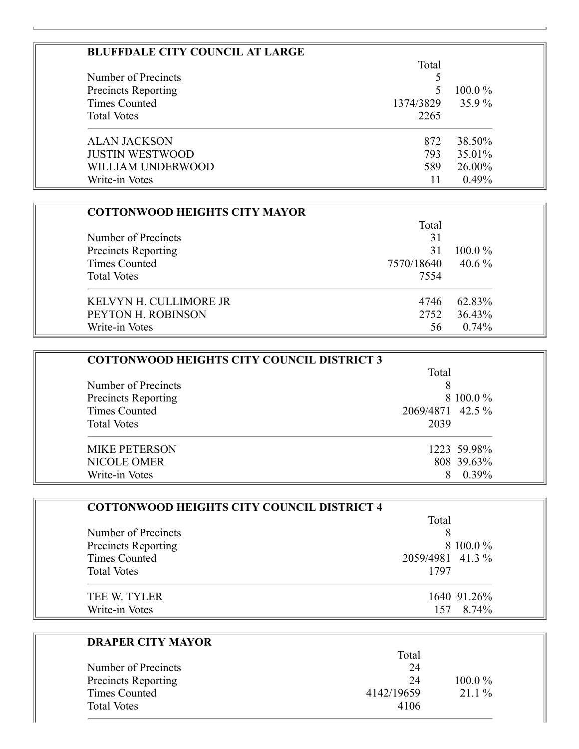| <b>BLUFFDALE CITY COUNCIL AT LARGE</b> |           |           |
|----------------------------------------|-----------|-----------|
|                                        | Total     |           |
| Number of Precincts                    |           |           |
| <b>Precincts Reporting</b>             |           | $100.0\%$ |
| Times Counted                          | 1374/3829 | $35.9\%$  |
| <b>Total Votes</b>                     | 2265      |           |
| <b>ALAN JACKSON</b>                    | 872       | 38.50%    |
| <b>JUSTIN WESTWOOD</b>                 | 793       | 35.01%    |
| WILLIAM UNDERWOOD                      | 589       | 26.00%    |
| Write-in Votes                         |           | 0.49%     |

| <b>COTTONWOOD HEIGHTS CITY MAYOR</b> |            |           |
|--------------------------------------|------------|-----------|
|                                      | Total      |           |
| Number of Precincts                  | 31         |           |
| Precincts Reporting                  | 31         | $100.0\%$ |
| Times Counted                        | 7570/18640 | 40.6 $\%$ |
| <b>Total Votes</b>                   | 7554       |           |
| KELVYN H. CULLIMORE JR               | 4746       | 62.83%    |
| PEYTON H. ROBINSON                   | 2752       | 36.43%    |
| Write-in Votes                       | 56         | 0.74%     |

| <b>COTTONWOOD HEIGHTS CITY COUNCIL DISTRICT 3</b> |                  |           |
|---------------------------------------------------|------------------|-----------|
|                                                   | Total            |           |
| Number of Precincts                               |                  |           |
| <b>Precincts Reporting</b>                        |                  | 8 100.0 % |
| Times Counted                                     | 2069/4871 42.5 % |           |
| <b>Total Votes</b>                                | 2039             |           |
| <b>MIKE PETERSON</b>                              | 1223 59.98%      |           |
| <b>NICOLE OMER</b>                                | 808 39.63%       |           |
| Write-in Votes                                    |                  | $0.39\%$  |

| <b>COTTONWOOD HEIGHTS CITY COUNCIL DISTRICT 4</b> |                  |  |
|---------------------------------------------------|------------------|--|
|                                                   | Total            |  |
| Number of Precincts                               |                  |  |
| Precincts Reporting                               | 8 100.0 %        |  |
| <b>Times Counted</b>                              | 2059/4981 41.3 % |  |
| <b>Total Votes</b>                                | 1797             |  |
| TEE W. TYLER                                      | 1640 91.26%      |  |
| Write-in Votes                                    | 8.74%            |  |

| <b>DRAPER CITY MAYOR</b> |            |           |
|--------------------------|------------|-----------|
|                          | Total      |           |
| Number of Precincts      | 24         |           |
| Precincts Reporting      | 24         | $100.0\%$ |
| <b>Times Counted</b>     | 4142/19659 | $21.1\%$  |
| <b>Total Votes</b>       | 4106       |           |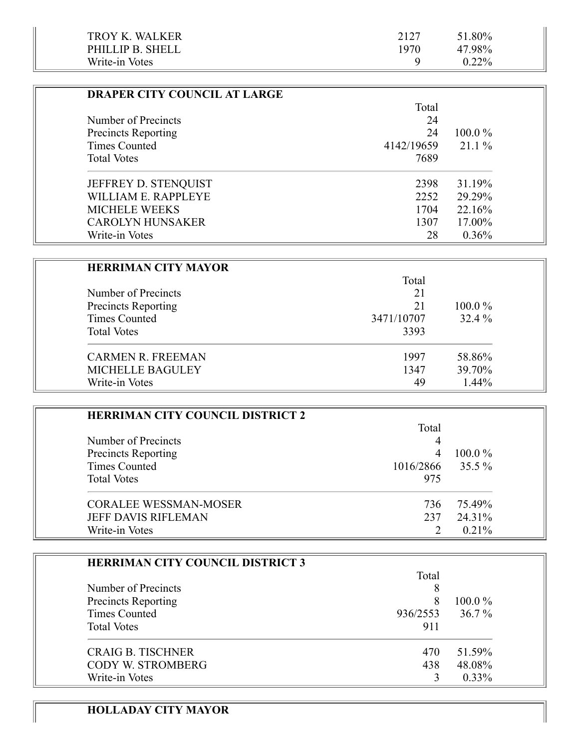| TROY K. WALKER   | 2127 | 51.80%   |
|------------------|------|----------|
| PHILLIP B. SHELL | 1970 | 47.98%   |
| Write-in Votes   |      | $0.22\%$ |

| <b>DRAPER CITY COUNCIL AT LARGE</b> |            |           |
|-------------------------------------|------------|-----------|
|                                     | Total      |           |
| Number of Precincts                 | 24         |           |
| <b>Precincts Reporting</b>          | 24         | $100.0\%$ |
| Times Counted                       | 4142/19659 | $21.1\%$  |
| <b>Total Votes</b>                  | 7689       |           |
| JEFFREY D. STENQUIST                | 2398       | 31.19%    |
| WILLIAM E. RAPPLEYE                 | 2252       | 29.29%    |
| <b>MICHELE WEEKS</b>                | 1704       | 22.16%    |
| <b>CAROLYN HUNSAKER</b>             | 1307       | 17.00%    |
| Write-in Votes                      | 28         | $0.36\%$  |

| <b>HERRIMAN CITY MAYOR</b> |            |           |
|----------------------------|------------|-----------|
|                            | Total      |           |
| Number of Precincts        | 21         |           |
| Precincts Reporting        | 21         | $100.0\%$ |
| <b>Times Counted</b>       | 3471/10707 | 32.4 %    |
| <b>Total Votes</b>         | 3393       |           |
| <b>CARMEN R. FREEMAN</b>   | 1997       | 58.86%    |
| <b>MICHELLE BAGULEY</b>    | 1347       | 39.70%    |
| Write-in Votes             | 49         | $1.44\%$  |

| <b>HERRIMAN CITY COUNCIL DISTRICT 2</b> |           |           |
|-----------------------------------------|-----------|-----------|
|                                         | Total     |           |
| Number of Precincts                     |           |           |
| <b>Precincts Reporting</b>              |           | $100.0\%$ |
| Times Counted                           | 1016/2866 | 35.5 %    |
| <b>Total Votes</b>                      | 975       |           |
| <b>CORALEE WESSMAN-MOSER</b>            | 736       | 75.49%    |
| <b>JEFF DAVIS RIFLEMAN</b>              | 237       | 24.31%    |
| Write-in Votes                          |           | $0.21\%$  |

| <b>HERRIMAN CITY COUNCIL DISTRICT 3</b> |          |           |
|-----------------------------------------|----------|-----------|
|                                         | Total    |           |
| Number of Precincts                     | 8        |           |
| Precincts Reporting                     | 8        | $100.0\%$ |
| Times Counted                           | 936/2553 | $36.7\%$  |
| <b>Total Votes</b>                      | 911      |           |
| <b>CRAIG B. TISCHNER</b>                | 470      | 51.59%    |
| <b>CODY W. STROMBERG</b>                | 438      | 48.08%    |
| Write-in Votes                          |          | $0.33\%$  |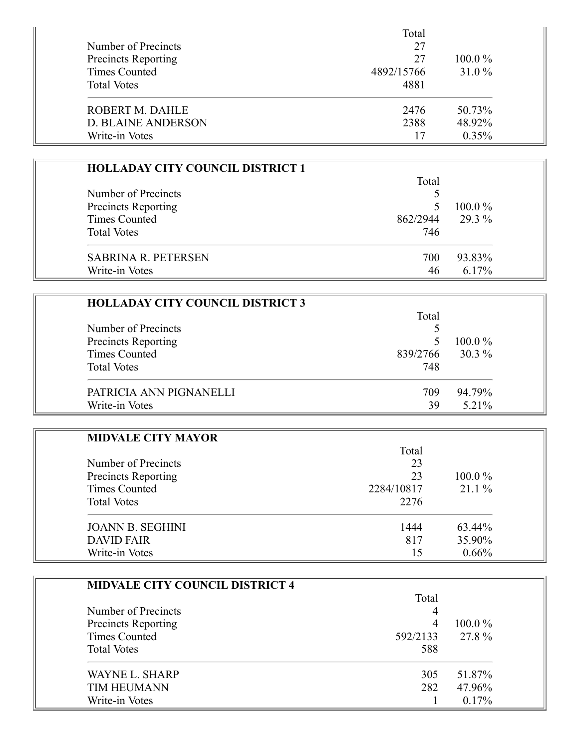|                            | Total      |           |
|----------------------------|------------|-----------|
| Number of Precincts        | 27         |           |
| <b>Precincts Reporting</b> | 27         | $100.0\%$ |
| Times Counted              | 4892/15766 | 31.0 %    |
| <b>Total Votes</b>         | 4881       |           |
| ROBERT M. DAHLE            | 2476       | 50.73%    |
| <b>D. BLAINE ANDERSON</b>  | 2388       | 48.92%    |
| Write-in Votes             |            | 0.35%     |

| <b>HOLLADAY CITY COUNCIL DISTRICT 1</b> |          |           |
|-----------------------------------------|----------|-----------|
|                                         | Total    |           |
| Number of Precincts                     |          |           |
| Precincts Reporting                     |          | $100.0\%$ |
| <b>Times Counted</b>                    | 862/2944 | 29.3 %    |
| <b>Total Votes</b>                      | 746      |           |
| <b>SABRINA R. PETERSEN</b>              | 700      | 93.83%    |
| Write-in Votes                          | 46       | 6.17%     |

| <b>HOLLADAY CITY COUNCIL DISTRICT 3</b> |          |           |
|-----------------------------------------|----------|-----------|
|                                         | Total    |           |
| Number of Precincts                     |          |           |
| Precincts Reporting                     |          | $100.0\%$ |
| Times Counted                           | 839/2766 | $30.3\%$  |
| <b>Total Votes</b>                      | 748      |           |
| PATRICIA ANN PIGNANELLI                 | 709      | 94.79%    |
| Write-in Votes                          | 39       | 5.21%     |

### **MIDVALE CITY MAYOR**

|                            | Total      |           |
|----------------------------|------------|-----------|
| Number of Precincts        | 23         |           |
| <b>Precincts Reporting</b> | 23         | $100.0\%$ |
| Times Counted              | 2284/10817 | 21.1%     |
| <b>Total Votes</b>         | 2276       |           |
| <b>JOANN B. SEGHINI</b>    | 1444       | 63.44%    |
| DAVID FAIR                 | 817        | 35.90%    |
| Write-in Votes             | 15         | 0.66%     |

| <b>MIDVALE CITY COUNCIL DISTRICT 4</b> |          |           |
|----------------------------------------|----------|-----------|
|                                        | Total    |           |
| Number of Precincts                    |          |           |
| Precincts Reporting                    | 4        | $100.0\%$ |
| Times Counted                          | 592/2133 | 27.8%     |
| <b>Total Votes</b>                     | 588      |           |
| <b>WAYNE L. SHARP</b>                  | 305      | 51.87%    |
| <b>TIM HEUMANN</b>                     | 282      | 47.96%    |
| Write-in Votes                         |          | $0.17\%$  |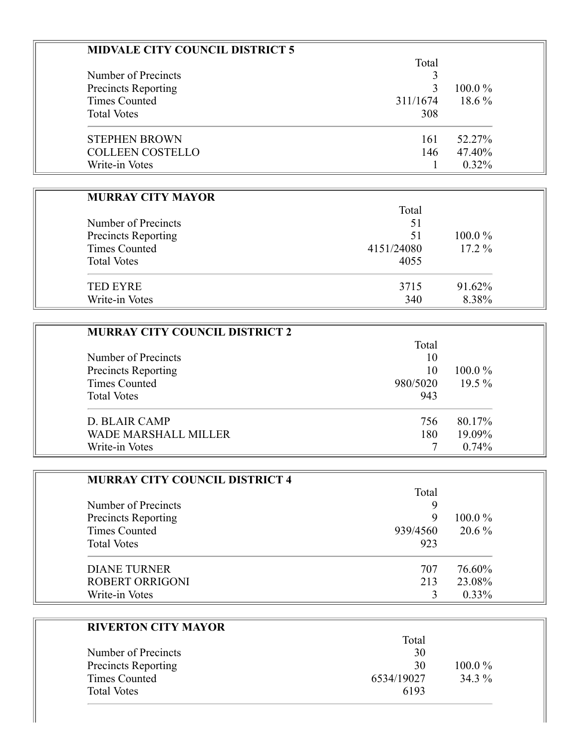| <b>MIDVALE CITY COUNCIL DISTRICT 5</b> |          |           |
|----------------------------------------|----------|-----------|
|                                        | Total    |           |
| Number of Precincts                    |          |           |
| <b>Precincts Reporting</b>             |          | $100.0\%$ |
| Times Counted                          | 311/1674 | $18.6\%$  |
| <b>Total Votes</b>                     | 308      |           |
| <b>STEPHEN BROWN</b>                   | 161      | 52.27%    |
| <b>COLLEEN COSTELLO</b>                | 146      | 47.40%    |
| Write-in Votes                         |          | $0.32\%$  |

#### **MURRAY CITY MAYOR**

|                            | Total      |           |
|----------------------------|------------|-----------|
| Number of Precincts        | 51         |           |
| <b>Precincts Reporting</b> | 51         | $100.0\%$ |
| Times Counted              | 4151/24080 | $17.2\%$  |
| <b>Total Votes</b>         | 4055       |           |
| <b>TED EYRE</b>            | 3715       | 91.62%    |
| Write-in Votes             | 340        | 8.38%     |

| <b>MURRAY CITY COUNCIL DISTRICT 2</b> |          |           |
|---------------------------------------|----------|-----------|
|                                       | Total    |           |
| Number of Precincts                   | 10       |           |
| Precincts Reporting                   | 10       | $100.0\%$ |
| <b>Times Counted</b>                  | 980/5020 | $19.5\%$  |
| <b>Total Votes</b>                    | 943      |           |
| <b>D. BLAIR CAMP</b>                  | 756      | 80.17%    |
| <b>WADE MARSHALL MILLER</b>           | 180      | 19.09%    |
| Write-in Votes                        |          | 0.74%     |

| <b>MURRAY CITY COUNCIL DISTRICT 4</b> |          |           |
|---------------------------------------|----------|-----------|
|                                       | Total    |           |
| Number of Precincts                   | 9        |           |
| Precincts Reporting                   | 9        | $100.0\%$ |
| <b>Times Counted</b>                  | 939/4560 | $20.6\%$  |
| <b>Total Votes</b>                    | 923      |           |
| <b>DIANE TURNER</b>                   | 707      | 76.60%    |
| <b>ROBERT ORRIGONI</b>                | 213      | 23.08%    |
| Write-in Votes                        |          | $0.33\%$  |

|                            | Total      |           |
|----------------------------|------------|-----------|
| Number of Precincts        | 30         |           |
| <b>Precincts Reporting</b> | 30         | $100.0\%$ |
| Times Counted              | 6534/19027 | 34.3 %    |
| <b>Total Votes</b>         | 6193       |           |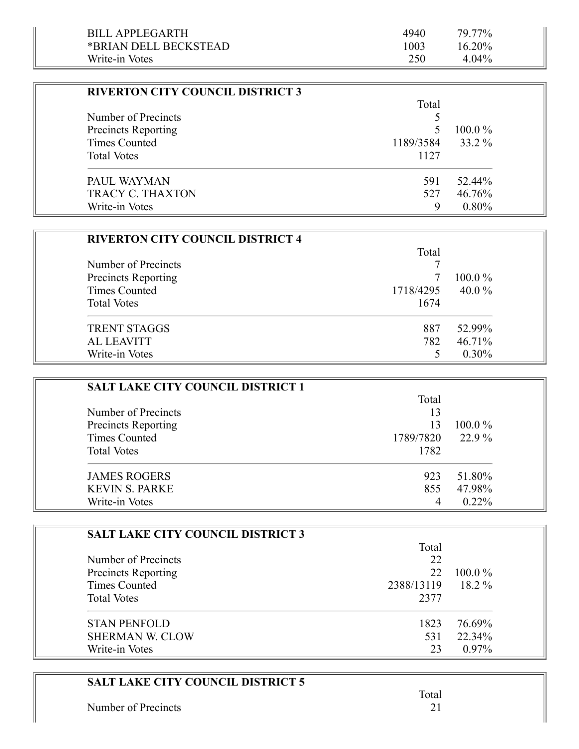| BILL APPLEGARTH       | 4940 | 79.77%    |  |
|-----------------------|------|-----------|--|
| *BRIAN DELL BECKSTEAD | 1003 | $16.20\%$ |  |
| Write-in Votes        | 250  | $4.04\%$  |  |

Ξ

| <b>RIVERTON CITY COUNCIL DISTRICT 3</b> |           |           |
|-----------------------------------------|-----------|-----------|
|                                         | Total     |           |
| Number of Precincts                     |           |           |
| <b>Precincts Reporting</b>              |           | $100.0\%$ |
| Times Counted                           | 1189/3584 | 33.2 %    |
| <b>Total Votes</b>                      | 1127      |           |
| PAUL WAYMAN                             | 591       | 52.44%    |
| <b>TRACY C. THAXTON</b>                 | 527       | 46.76%    |
| Write-in Votes                          | Q         | $0.80\%$  |

| <b>RIVERTON CITY COUNCIL DISTRICT 4</b> |           |           |
|-----------------------------------------|-----------|-----------|
|                                         | Total     |           |
| Number of Precincts                     |           |           |
| Precincts Reporting                     |           | $100.0\%$ |
| <b>Times Counted</b>                    | 1718/4295 | 40.0 $%$  |
| <b>Total Votes</b>                      | 1674      |           |
| <b>TRENT STAGGS</b>                     | 887       | 52.99%    |
| <b>AL LEAVITT</b>                       | 782       | 46.71%    |
| Write-in Votes                          |           | $0.30\%$  |

| <b>SALT LAKE CITY COUNCIL DISTRICT 1</b> |           |           |
|------------------------------------------|-----------|-----------|
|                                          | Total     |           |
| Number of Precincts                      | 13        |           |
| <b>Precincts Reporting</b>               | 13        | $100.0\%$ |
| <b>Times Counted</b>                     | 1789/7820 | 22.9 %    |
| <b>Total Votes</b>                       | 1782      |           |
| <b>JAMES ROGERS</b>                      | 923       | 51.80%    |
| <b>KEVIN S. PARKE</b>                    | 855       | 47.98%    |
| Write-in Votes                           | 4         | $0.22\%$  |

| <b>SALT LAKE CITY COUNCIL DISTRICT 3</b> |            |           |
|------------------------------------------|------------|-----------|
|                                          | Total      |           |
| Number of Precincts                      | 22         |           |
| <b>Precincts Reporting</b>               | 22         | $100.0\%$ |
| Times Counted                            | 2388/13119 | $18.2\%$  |
| <b>Total Votes</b>                       | 2377       |           |
| <b>STAN PENFOLD</b>                      | 1823       | 76.69%    |
| <b>SHERMAN W. CLOW</b>                   | 531        | 22.34%    |
| Write-in Votes                           | 23         | $0.97\%$  |

| <b>SALT LAKE CITY COUNCIL DISTRICT 5</b> |       |
|------------------------------------------|-------|
|                                          | Total |
| Number of Precincts                      |       |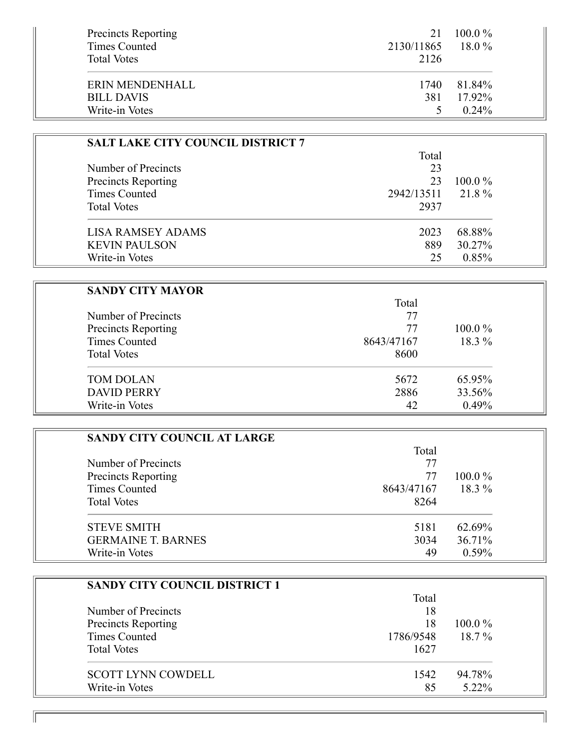| <b>Precincts Reporting</b><br><b>Times Counted</b><br><b>Total Votes</b> | $100.0\%$<br>21<br>2130/11865<br>2126 | $18.0\%$ |
|--------------------------------------------------------------------------|---------------------------------------|----------|
| ERIN MENDENHALL                                                          | 81.84%<br>1740                        |          |
| <b>BILL DAVIS</b>                                                        | 17.92%<br>381                         |          |
| Write-in Votes                                                           |                                       | $0.24\%$ |

| <b>SALT LAKE CITY COUNCIL DISTRICT 7</b> |            |           |
|------------------------------------------|------------|-----------|
|                                          | Total      |           |
| Number of Precincts                      | 23         |           |
| <b>Precincts Reporting</b>               | 23         | $100.0\%$ |
| Times Counted                            | 2942/13511 | 21.8%     |
| <b>Total Votes</b>                       | 2937       |           |
| LISA RAMSEY ADAMS                        | 2023       | 68.88%    |
| <b>KEVIN PAULSON</b>                     | 889        | 30.27%    |
| Write-in Votes                           | 25         | 0.85%     |

| <b>SANDY CITY MAYOR</b>    |            |           |
|----------------------------|------------|-----------|
|                            | Total      |           |
| Number of Precincts        | 77         |           |
| <b>Precincts Reporting</b> | 77         | $100.0\%$ |
| Times Counted              | 8643/47167 | $18.3\%$  |
| <b>Total Votes</b>         | 8600       |           |
| <b>TOM DOLAN</b>           | 5672       | 65.95%    |
| <b>DAVID PERRY</b>         | 2886       | 33.56%    |
| Write-in Votes             | 42         | 0.49%     |

| <b>SANDY CITY COUNCIL AT LARGE</b> |            |           |
|------------------------------------|------------|-----------|
|                                    | Total      |           |
| Number of Precincts                | 77         |           |
| <b>Precincts Reporting</b>         | 77         | $100.0\%$ |
| Times Counted                      | 8643/47167 | $18.3\%$  |
| <b>Total Votes</b>                 | 8264       |           |
| <b>STEVE SMITH</b>                 | 5181       | 62.69%    |
| <b>GERMAINE T. BARNES</b>          | 3034       | 36.71%    |
| Write-in Votes                     | 49         | $0.59\%$  |

| <b>SANDY CITY COUNCIL DISTRICT 1</b> |           |           |
|--------------------------------------|-----------|-----------|
|                                      | Total     |           |
| Number of Precincts                  | 18        |           |
| Precincts Reporting                  | 18        | $100.0\%$ |
| <b>Times Counted</b>                 | 1786/9548 | $18.7\%$  |
| <b>Total Votes</b>                   | 1627      |           |
| <b>SCOTT LYNN COWDELL</b>            | 1542      | 94.78%    |
| Write-in Votes                       | 85        | 5.22%     |

11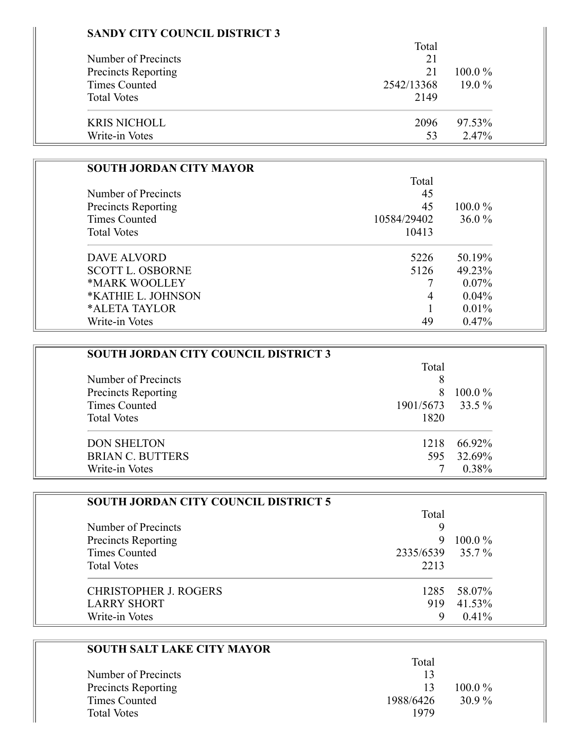## **SANDY CITY COUNCIL DISTRICT 3**

|                            | Total      |           |
|----------------------------|------------|-----------|
| Number of Precincts        | 21         |           |
| <b>Precincts Reporting</b> | 21         | $100.0\%$ |
| <b>Times Counted</b>       | 2542/13368 | $19.0\%$  |
| <b>Total Votes</b>         | 2149       |           |
| <b>KRIS NICHOLL</b>        | 2096       | 97.53%    |
| Write-in Votes             | 53         | 2.47%     |

| <b>SOUTH JORDAN CITY MAYOR</b> |             |           |
|--------------------------------|-------------|-----------|
|                                | Total       |           |
| Number of Precincts            | 45          |           |
| <b>Precincts Reporting</b>     | 45          | $100.0\%$ |
| Times Counted                  | 10584/29402 | $36.0\%$  |
| <b>Total Votes</b>             | 10413       |           |
| DAVE ALVORD                    | 5226        | 50.19%    |
| <b>SCOTT L. OSBORNE</b>        | 5126        | 49.23%    |
| *MARK WOOLLEY                  |             | $0.07\%$  |
| *KATHIE L. JOHNSON             | 4           | 0.04%     |
| *ALETA TAYLOR                  |             | $0.01\%$  |
| Write-in Votes                 | 49          | 0.47%     |

| <b>SOUTH JORDAN CITY COUNCIL DISTRICT 3</b> |           |           |
|---------------------------------------------|-----------|-----------|
|                                             | Total     |           |
| Number of Precincts                         | 8         |           |
| Precincts Reporting                         | 8         | $100.0\%$ |
| <b>Times Counted</b>                        | 1901/5673 | 33.5 %    |
| <b>Total Votes</b>                          | 1820      |           |
| <b>DON SHELTON</b>                          | 1218      | 66.92%    |
| <b>BRIAN C. BUTTERS</b>                     | 595       | 32.69%    |
| Write-in Votes                              |           | 0.38%     |

| <b>SOUTH JORDAN CITY COUNCIL DISTRICT 5</b> |                  |             |
|---------------------------------------------|------------------|-------------|
|                                             | Total            |             |
| Number of Precincts                         | 9                |             |
| <b>Precincts Reporting</b>                  | 9                | $100.0\%$   |
| Times Counted                               | 2335/6539 35.7 % |             |
| <b>Total Votes</b>                          | 2213             |             |
| CHRISTOPHER J. ROGERS                       |                  | 1285 58.07% |
| <b>LARRY SHORT</b>                          | 919              | 41.53%      |
| Write-in Votes                              | 9                | $0.41\%$    |

| <b>SOUTH SALT LAKE CITY MAYOR</b> |           |           |
|-----------------------------------|-----------|-----------|
|                                   | Total     |           |
| Number of Precincts               | 13        |           |
| Precincts Reporting               | 13        | $100.0\%$ |
| Times Counted                     | 1988/6426 | $30.9\%$  |
| <b>Total Votes</b>                | 1979      |           |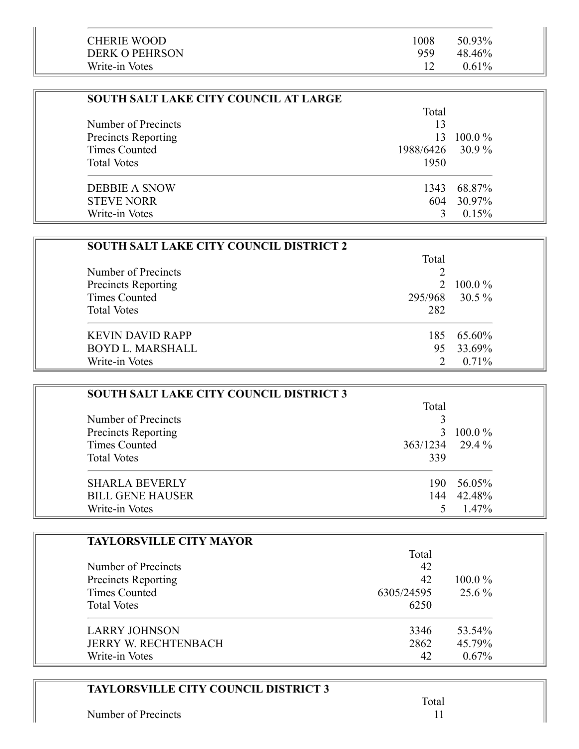| <b>CHERIE WOOD</b>    | 1008 | 50.93%   |  |
|-----------------------|------|----------|--|
| <b>DERK O PEHRSON</b> | 959  | 48.46%   |  |
| Write-in Votes        |      | $0.61\%$ |  |

| <b>SOUTH SALT LAKE CITY COUNCIL AT LARGE</b> |                  |            |
|----------------------------------------------|------------------|------------|
|                                              | Total            |            |
| Number of Precincts                          | 13               |            |
| <b>Precincts Reporting</b>                   | 13.              | $100.0\%$  |
| Times Counted                                | 1988/6426 30.9 % |            |
| <b>Total Votes</b>                           | 1950             |            |
| <b>DEBBIE A SNOW</b>                         | 1343             | 68.87%     |
| <b>STEVE NORR</b>                            |                  | 604 30.97% |
| Write-in Votes                               |                  | 0.15%      |

| <b>SOUTH SALT LAKE CITY COUNCIL DISTRICT 2</b> |       |                |
|------------------------------------------------|-------|----------------|
|                                                | Total |                |
| Number of Precincts                            |       |                |
| Precincts Reporting                            |       | 2 100.0 $\%$   |
| <b>Times Counted</b>                           |       | 295/968 30.5 % |
| <b>Total Votes</b>                             | 282   |                |
| <b>KEVIN DAVID RAPP</b>                        |       | 185 65.60%     |
| <b>BOYD L. MARSHALL</b>                        | 95    | 33.69%         |
| Write-in Votes                                 |       | $0.71\%$       |

| SOUTH SALT LAKE CITY COUNCIL DISTRICT 3 |                 |           |
|-----------------------------------------|-----------------|-----------|
|                                         | Total           |           |
| Number of Precincts                     |                 |           |
| Precincts Reporting                     |                 | $100.0\%$ |
| <b>Times Counted</b>                    | 363/1234 29.4 % |           |
| <b>Total Votes</b>                      | 339             |           |
| <b>SHARLA BEVERLY</b>                   | 190.            | 56.05%    |
| <b>BILL GENE HAUSER</b>                 | 144             | 42.48%    |
| Write-in Votes                          |                 | 1.47%     |

| <b>TAYLORSVILLE CITY MAYOR</b> |            |           |
|--------------------------------|------------|-----------|
|                                | Total      |           |
| Number of Precincts            | 42         |           |
| Precincts Reporting            | 42         | $100.0\%$ |
| Times Counted                  | 6305/24595 | $25.6\%$  |
| <b>Total Votes</b>             | 6250       |           |
| <b>LARRY JOHNSON</b>           | 3346       | 53.54%    |
| <b>JERRY W. RECHTENBACH</b>    | 2862       | 45.79%    |
| Write-in Votes                 | 42         | 0.67%     |

| <b>TAYLORSVILLE CITY COUNCIL DISTRICT 3</b> |  |
|---------------------------------------------|--|
| Number of Precincts                         |  |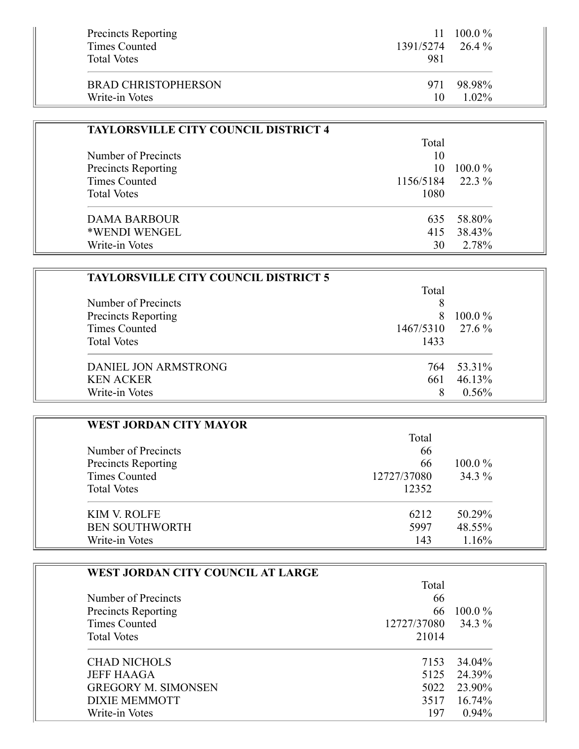| Precincts Reporting<br>Times Counted<br><b>Total Votes</b> | 11.<br>1391/5274 26.4 %<br>981 | $100.0\%$ |
|------------------------------------------------------------|--------------------------------|-----------|
| <b>BRAD CHRISTOPHERSON</b>                                 | 971                            | 98.98%    |
| Write-in Votes                                             | 10                             | $1.02\%$  |

| <b>TAYLORSVILLE CITY COUNCIL DISTRICT 4</b> |                  |           |
|---------------------------------------------|------------------|-----------|
|                                             | Total            |           |
| Number of Precincts                         | 10               |           |
| Precincts Reporting                         | 10               | $100.0\%$ |
| <b>Times Counted</b>                        | 1156/5184 22.3 % |           |
| <b>Total Votes</b>                          | 1080             |           |
| <b>DAMA BARBOUR</b>                         | 635              | 58.80%    |
| *WENDI WENGEL                               | 415              | 38.43%    |
| Write-in Votes                              | 30               | 2.78%     |

| <b>TAYLORSVILLE CITY COUNCIL DISTRICT 5</b> |           |           |
|---------------------------------------------|-----------|-----------|
|                                             | Total     |           |
| Number of Precincts                         | 8         |           |
| <b>Precincts Reporting</b>                  | 8         | $100.0\%$ |
| Times Counted                               | 1467/5310 | 27.6 %    |
| <b>Total Votes</b>                          | 1433      |           |
| DANIEL JON ARMSTRONG                        | 764       | 53.31%    |
| <b>KEN ACKER</b>                            | 661       | 46.13%    |
| Write-in Votes                              | 8         | 0.56%     |

| <b>WEST JORDAN CITY MAYOR</b>                     |          |           |
|---------------------------------------------------|----------|-----------|
| Number of Precincts<br><b>Precincts Reporting</b> | Total    |           |
|                                                   | 66<br>66 | $100.0\%$ |
|                                                   |          |           |
| <b>Total Votes</b>                                | 12352    |           |
| <b>KIM V. ROLFE</b>                               | 6212     | 50.29%    |
| <b>BEN SOUTHWORTH</b>                             | 5997     | 48.55%    |
| Write-in Votes                                    | 143      | 1.16%     |

| WEST JORDAN CITY COUNCIL AT LARGE |                    |            |
|-----------------------------------|--------------------|------------|
|                                   | Total              |            |
| Number of Precincts               | 66                 |            |
| <b>Precincts Reporting</b>        |                    | 66 100.0 % |
| Times Counted                     | 12727/37080 34.3 % |            |
| <b>Total Votes</b>                | 21014              |            |
| <b>CHAD NICHOLS</b>               | 7153               | 34.04%     |
| <b>JEFF HAAGA</b>                 | 5125               | 24.39%     |
| <b>GREGORY M. SIMONSEN</b>        | 5022               | 23.90%     |
| <b>DIXIE MEMMOTT</b>              | 3517               | $16.74\%$  |
| Write-in Votes                    | 197                | 0.94%      |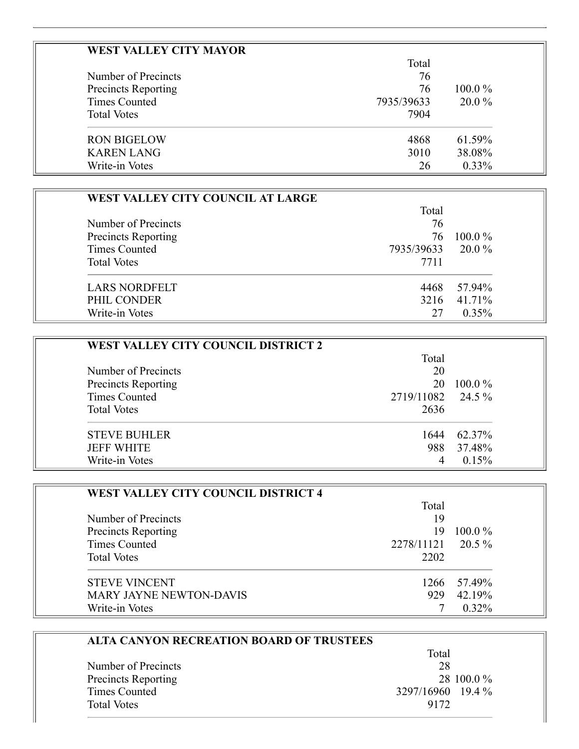| <b>WEST VALLEY CITY MAYOR</b> |            |           |
|-------------------------------|------------|-----------|
|                               | Total      |           |
| Number of Precincts           | 76         |           |
| Precincts Reporting           | 76         | $100.0\%$ |
| <b>Times Counted</b>          | 7935/39633 | $20.0\%$  |
| <b>Total Votes</b>            | 7904       |           |
| <b>RON BIGELOW</b>            | 4868       | 61.59%    |
| <b>KAREN LANG</b>             | 3010       | 38.08%    |
| Write-in Votes                | 26         | $0.33\%$  |

| WEST VALLEY CITY COUNCIL AT LARGE |            |           |
|-----------------------------------|------------|-----------|
|                                   | Total      |           |
| Number of Precincts               | 76         |           |
| <b>Precincts Reporting</b>        | 76         | $100.0\%$ |
| <b>Times Counted</b>              | 7935/39633 | $20.0\%$  |
| <b>Total Votes</b>                | 7711       |           |
| <b>LARS NORDFELT</b>              | 4468       | 57.94%    |
| PHIL CONDER                       | 3216       | 41.71%    |
| Write-in Votes                    | 27         | $0.35\%$  |

| <b>WEST VALLEY CITY COUNCIL DISTRICT 2</b> |                   |           |
|--------------------------------------------|-------------------|-----------|
|                                            | Total             |           |
| Number of Precincts                        | 20                |           |
| <b>Precincts Reporting</b>                 | 20                | $100.0\%$ |
| <b>Times Counted</b>                       | 2719/11082 24.5 % |           |
| <b>Total Votes</b>                         | 2636              |           |
| <b>STEVE BUHLER</b>                        | 1644              | 62.37%    |
| <b>JEFF WHITE</b>                          | 988               | 37.48%    |
| Write-in Votes                             |                   | 0.15%     |

| <b>WEST VALLEY CITY COUNCIL DISTRICT 4</b> |                   |             |
|--------------------------------------------|-------------------|-------------|
|                                            | Total             |             |
| Number of Precincts                        | 19                |             |
| Precincts Reporting                        | 19                | $100.0\%$   |
| Times Counted                              | 2278/11121 20.5 % |             |
| <b>Total Votes</b>                         | 2202              |             |
| <b>STEVE VINCENT</b>                       |                   | 1266 57.49% |
| <b>MARY JAYNE NEWTON-DAVIS</b>             | 929               | 42.19%      |
| Write-in Votes                             |                   | $0.32\%$    |

| <b>ALTA CANYON RECREATION BOARD OF TRUSTEES</b> |
|-------------------------------------------------|
| Total                                           |
| 28                                              |
| 28 100.0 %                                      |
| 3297/16960 19.4 %                               |
| 9172                                            |
|                                                 |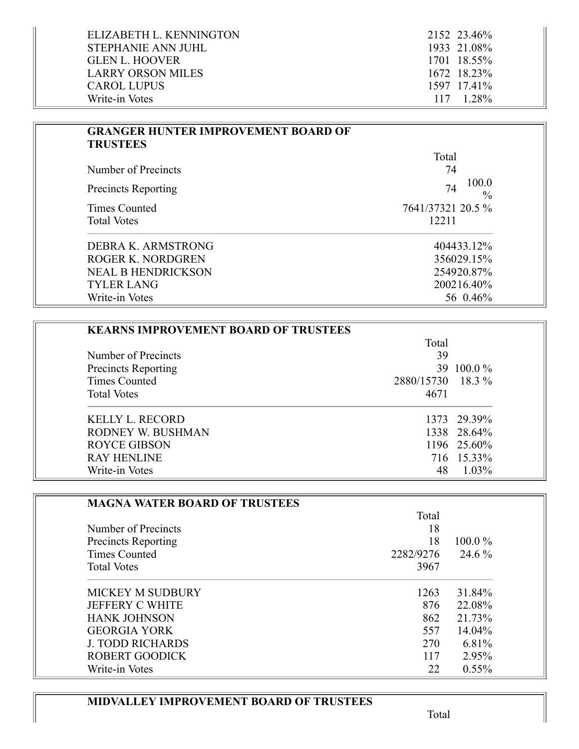| ELIZABETH L. KENNINGTON  | 2152 23.46%        |
|--------------------------|--------------------|
| STEPHANIE ANN JUHL       | 1933 21.08%        |
| GLEN L. HOOVER           | 1701 18.55%        |
| <b>LARRY ORSON MILES</b> | 1672 18.23%        |
| <b>CAROL LUPUS</b>       | 1597 17.41%        |
| Write-in Votes           | $117 \quad 1.28\%$ |

 $\overline{\phantom{a}}$ 

| <b>GRANGER HUNTER IMPROVEMENT BOARD OF</b><br><b>TRUSTEES</b> |                              |
|---------------------------------------------------------------|------------------------------|
|                                                               | Total                        |
| Number of Precincts                                           | 74                           |
| <b>Precincts Reporting</b>                                    | 100.0<br>74<br>$\frac{0}{0}$ |
| Times Counted                                                 | 7641/37321 20.5 %            |
| <b>Total Votes</b>                                            | 12211                        |
| DEBRA K. ARMSTRONG                                            | 404433.12%                   |
| <b>ROGER K. NORDGREN</b>                                      | 356029.15%                   |
| <b>NEAL B HENDRICKSON</b>                                     | 254920.87%                   |
| <b>TYLER LANG</b>                                             | 200216.40%                   |
| Write-in Votes                                                | 56 0.46%                     |

| <b>KEARNS IMPROVEMENT BOARD OF TRUSTEES</b> |                   |             |
|---------------------------------------------|-------------------|-------------|
|                                             | Total             |             |
| Number of Precincts                         | 39                |             |
| <b>Precincts Reporting</b>                  |                   | 39 100.0 %  |
| Times Counted                               | 2880/15730 18.3 % |             |
| <b>Total Votes</b>                          | 4671              |             |
| <b>KELLY L. RECORD</b>                      |                   | 1373 29.39% |
| RODNEY W. BUSHMAN                           |                   | 1338 28.64% |
| <b>ROYCE GIBSON</b>                         |                   | 1196 25.60% |
| <b>RAY HENLINE</b>                          |                   | 716 15.33%  |
| Write-in Votes                              | 48                | $1.03\%$    |

| <b>MAGNA WATER BOARD OF TRUSTEES</b> |           |           |
|--------------------------------------|-----------|-----------|
|                                      | Total     |           |
| Number of Precincts                  | 18        |           |
| Precincts Reporting                  | 18        | $100.0\%$ |
| Times Counted                        | 2282/9276 | 24.6 %    |
| <b>Total Votes</b>                   | 3967      |           |
| <b>MICKEY M SUDBURY</b>              | 1263      | 31.84%    |
| <b>JEFFERY C WHITE</b>               | 876       | 22.08%    |
| <b>HANK JOHNSON</b>                  | 862       | 21.73%    |
| <b>GEORGIA YORK</b>                  | 557       | 14.04%    |
| <b>J. TODD RICHARDS</b>              | 270       | 6.81%     |
| <b>ROBERT GOODICK</b>                | 117       | 2.95%     |
| Write-in Votes                       | 22        | $0.55\%$  |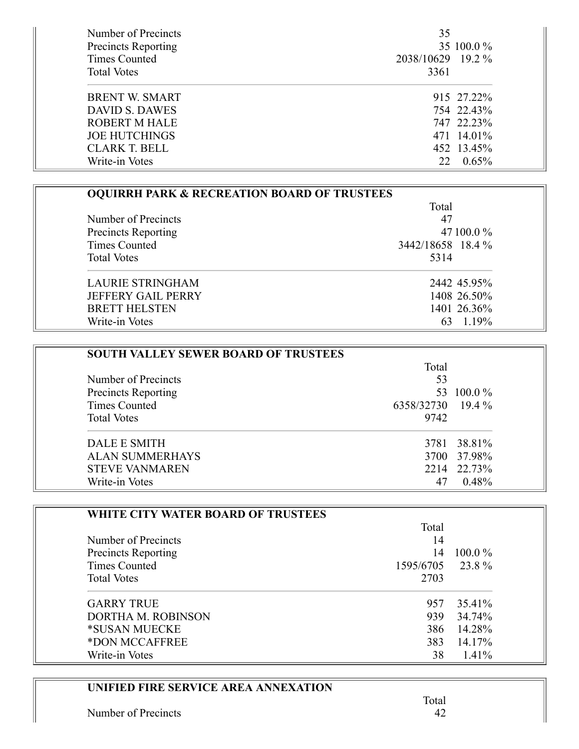| Number of Precincts        | 35                |
|----------------------------|-------------------|
| <b>Precincts Reporting</b> | 35 100.0 %        |
| Times Counted              | 2038/10629 19.2 % |
| <b>Total Votes</b>         | 3361              |
| <b>BRENT W. SMART</b>      | 915 27.22%        |
| <b>DAVID S. DAWES</b>      | 754 22.43%        |
| <b>ROBERT M HALE</b>       | 747 22.23%        |
| <b>JOE HUTCHINGS</b>       | 471 14.01%        |
| CLARK T. BELL              | 452 13.45%        |
| Write-in Votes             | $0.65\%$<br>22    |

| <b>OQUIRRH PARK &amp; RECREATION BOARD OF TRUSTEES</b> |                   |  |
|--------------------------------------------------------|-------------------|--|
|                                                        | Total             |  |
| Number of Precincts                                    | 47                |  |
| Precincts Reporting                                    | 47 100.0 %        |  |
| Times Counted                                          | 3442/18658 18.4 % |  |
| <b>Total Votes</b>                                     | 5314              |  |
| <b>LAURIE STRINGHAM</b>                                | 2442 45.95%       |  |
| <b>JEFFERY GAIL PERRY</b>                              | 1408 26.50%       |  |
| <b>BRETT HELSTEN</b>                                   | 1401 26.36%       |  |
| Write-in Votes                                         | 63 1.19%          |  |

| <b>SOUTH VALLEY SEWER BOARD OF TRUSTEES</b> |                   |             |
|---------------------------------------------|-------------------|-------------|
|                                             | Total<br>53       |             |
| Number of Precincts                         |                   |             |
| <b>Precincts Reporting</b>                  |                   | 53 100.0 %  |
| Times Counted                               | 6358/32730 19.4 % |             |
| <b>Total Votes</b>                          | 9742              |             |
| DALE E SMITH                                |                   | 3781 38.81% |
| <b>ALAN SUMMERHAYS</b>                      |                   | 3700 37.98% |
| <b>STEVE VANMAREN</b>                       |                   | 2214 22.73% |
| Write-in Votes                              | 47                | 0.48%       |

| WHITE CITY WATER BOARD OF TRUSTEES |           |           |
|------------------------------------|-----------|-----------|
|                                    | Total     |           |
| Number of Precincts                | 14        |           |
| Precincts Reporting                | 14        | $100.0\%$ |
| Times Counted                      | 1595/6705 | 23.8%     |
| <b>Total Votes</b>                 | 2703      |           |
| <b>GARRY TRUE</b>                  | 957       | 35.41%    |
| DORTHA M. ROBINSON                 | 939       | 34.74%    |
| *SUSAN MUECKE                      | 386       | 14.28%    |
| *DON MCCAFFREE                     | 383       | 14.17%    |
| Write-in Votes                     | 38        | 1.41%     |

# **UNIFIED FIRE SERVICE AREA ANNEXATION**